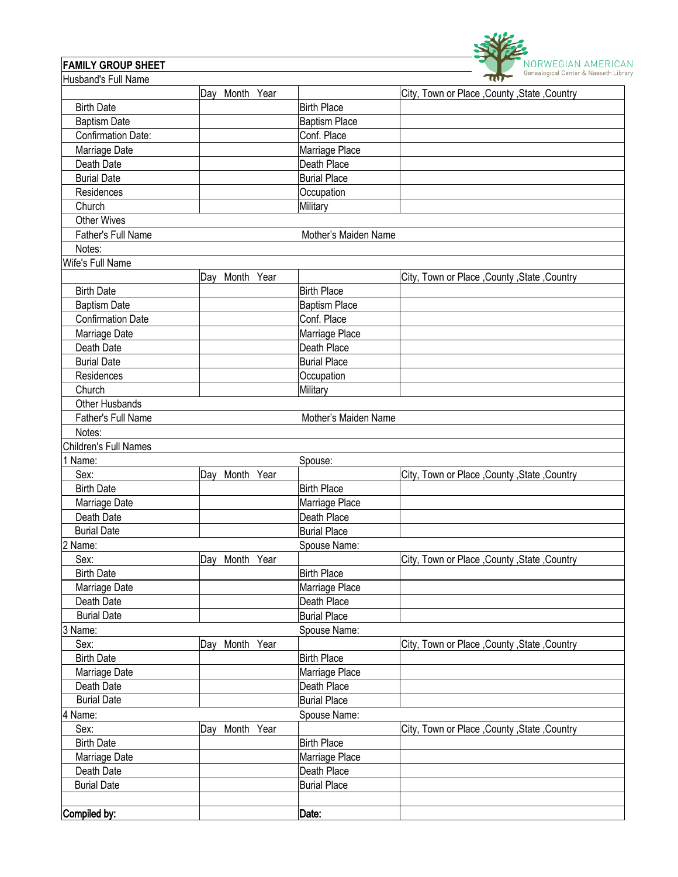

## **FAMILY GROUP SHEET**

| Husband's Full Name       |                   |                      | $\sim$                                         |
|---------------------------|-------------------|----------------------|------------------------------------------------|
|                           | Day Month Year    |                      | City, Town or Place , County , State , Country |
| <b>Birth Date</b>         |                   | <b>Birth Place</b>   |                                                |
| <b>Baptism Date</b>       |                   | <b>Baptism Place</b> |                                                |
| <b>Confirmation Date:</b> |                   | Conf. Place          |                                                |
| Marriage Date             |                   | Marriage Place       |                                                |
| Death Date                |                   | Death Place          |                                                |
| <b>Burial Date</b>        |                   | <b>Burial Place</b>  |                                                |
| Residences                |                   | Occupation           |                                                |
| Church                    |                   | <b>Military</b>      |                                                |
| <b>Other Wives</b>        |                   |                      |                                                |
| <b>Father's Full Name</b> |                   | Mother's Maiden Name |                                                |
| Notes:                    |                   |                      |                                                |
| Wife's Full Name          |                   |                      |                                                |
|                           | Day Month Year    |                      | City, Town or Place, County, State, Country    |
| <b>Birth Date</b>         |                   | <b>Birth Place</b>   |                                                |
| <b>Baptism Date</b>       |                   | <b>Baptism Place</b> |                                                |
| <b>Confirmation Date</b>  |                   | Conf. Place          |                                                |
| Marriage Date             |                   | Marriage Place       |                                                |
| Death Date                |                   | Death Place          |                                                |
| <b>Burial Date</b>        |                   | <b>Burial Place</b>  |                                                |
| Residences                |                   | Occupation           |                                                |
| Church                    |                   | Military             |                                                |
| Other Husbands            |                   |                      |                                                |
| Father's Full Name        |                   | Mother's Maiden Name |                                                |
| Notes:                    |                   |                      |                                                |
| Children's Full Names     |                   |                      |                                                |
| 1 Name:                   |                   | Spouse:              |                                                |
| Sex:                      | Month Year<br>Day |                      | City, Town or Place, County, State, Country    |
| <b>Birth Date</b>         |                   | <b>Birth Place</b>   |                                                |
| Marriage Date             |                   | Marriage Place       |                                                |
| Death Date                |                   | Death Place          |                                                |
| <b>Burial Date</b>        |                   | <b>Burial Place</b>  |                                                |
| 2 Name:                   |                   | Spouse Name:         |                                                |
| Sex:                      | Day Month Year    |                      |                                                |
| <b>Birth Date</b>         |                   | <b>Birth Place</b>   | City, Town or Place, County, State, Country    |
|                           |                   |                      |                                                |
| Marriage Date             |                   | Marriage Place       |                                                |
| Death Date                |                   | Death Place          |                                                |
| <b>Burial Date</b>        |                   | <b>Burial Place</b>  |                                                |
| 3 Name:                   |                   | Spouse Name:         |                                                |
| Sex:                      | Day Month Year    |                      | City, Town or Place , County , State , Country |
| <b>Birth Date</b>         |                   | <b>Birth Place</b>   |                                                |
| Marriage Date             |                   | Marriage Place       |                                                |
| Death Date                |                   | Death Place          |                                                |
| <b>Burial Date</b>        |                   | <b>Burial Place</b>  |                                                |
| 4 Name:                   |                   | Spouse Name:         |                                                |
| Sex:                      | Day Month Year    |                      | City, Town or Place, County, State, Country    |
| <b>Birth Date</b>         |                   | <b>Birth Place</b>   |                                                |
| Marriage Date             |                   | Marriage Place       |                                                |
| Death Date                |                   | Death Place          |                                                |
| <b>Burial Date</b>        |                   | <b>Burial Place</b>  |                                                |
|                           |                   |                      |                                                |
| Compiled by:              |                   | Date:                |                                                |